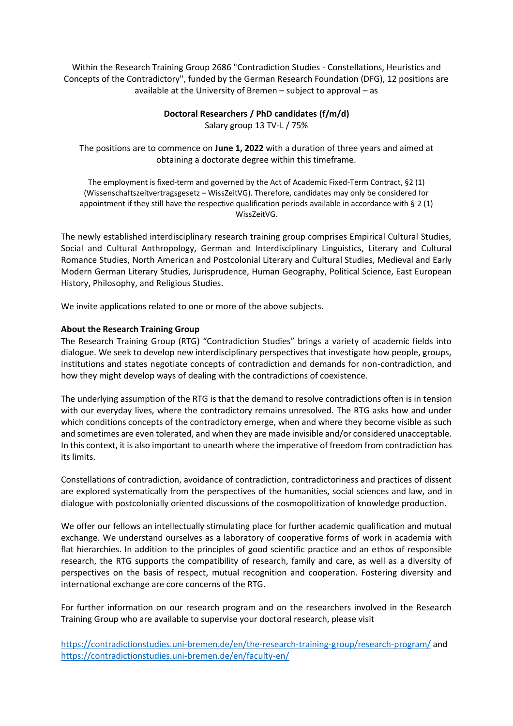Within the Research Training Group 2686 "Contradiction Studies - Constellations, Heuristics and Concepts of the Contradictory", funded by the German Research Foundation (DFG), 12 positions are available at the University of Bremen – subject to approval – as

# **Doctoral Researchers / PhD candidates (f/m/d)**

Salary group 13 TV-L / 75%

The positions are to commence on **June 1, 2022** with a duration of three years and aimed at obtaining a doctorate degree within this timeframe.

The employment is fixed-term and governed by the Act of Academic Fixed-Term Contract, §2 (1) (Wissenschaftszeitvertragsgesetz – WissZeitVG). Therefore, candidates may only be considered for appointment if they still have the respective qualification periods available in accordance with § 2 (1) WissZeitVG.

The newly established interdisciplinary research training group comprises Empirical Cultural Studies, Social and Cultural Anthropology, German and Interdisciplinary Linguistics, Literary and Cultural Romance Studies, North American and Postcolonial Literary and Cultural Studies, Medieval and Early Modern German Literary Studies, Jurisprudence, Human Geography, Political Science, East European History, Philosophy, and Religious Studies.

We invite applications related to one or more of the above subjects.

# **About the Research Training Group**

The Research Training Group (RTG) "Contradiction Studies" brings a variety of academic fields into dialogue. We seek to develop new interdisciplinary perspectives that investigate how people, groups, institutions and states negotiate concepts of contradiction and demands for non-contradiction, and how they might develop ways of dealing with the contradictions of coexistence.

The underlying assumption of the RTG is that the demand to resolve contradictions often is in tension with our everyday lives, where the contradictory remains unresolved. The RTG asks how and under which conditions concepts of the contradictory emerge, when and where they become visible as such and sometimes are even tolerated, and when they are made invisible and/or considered unacceptable. In this context, it is also important to unearth where the imperative of freedom from contradiction has its limits.

Constellations of contradiction, avoidance of contradiction, contradictoriness and practices of dissent are explored systematically from the perspectives of the humanities, social sciences and law, and in dialogue with postcolonially oriented discussions of the cosmopolitization of knowledge production.

We offer our fellows an intellectually stimulating place for further academic qualification and mutual exchange. We understand ourselves as a laboratory of cooperative forms of work in academia with flat hierarchies. In addition to the principles of good scientific practice and an ethos of responsible research, the RTG supports the compatibility of research, family and care, as well as a diversity of perspectives on the basis of respect, mutual recognition and cooperation. Fostering diversity and international exchange are core concerns of the RTG.

For further information on our research program and on the researchers involved in the Research Training Group who are available to supervise your doctoral research, please visit

<https://contradictionstudies.uni-bremen.de/en/the-research-training-group/research-program/> and <https://contradictionstudies.uni-bremen.de/en/faculty-en/>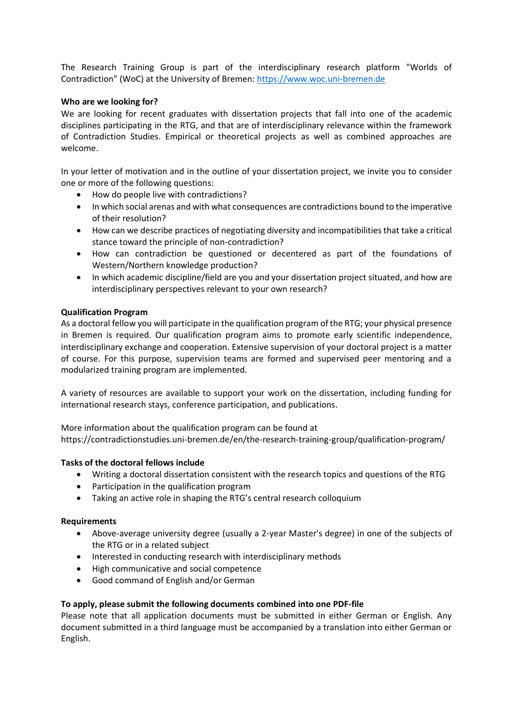The Research Training Group is part of the interdisciplinary research platform "Worlds of Contradiction" (WoC) at the University of Bremen: [https://www.woc.uni-bremen.de](https://www.woc.uni-bremen.de/)

# **Who are we looking for?**

We are looking for recent graduates with dissertation projects that fall into one of the academic disciplines participating in the RTG, and that are of interdisciplinary relevance within the framework of Contradiction Studies. Empirical or theoretical projects as well as combined approaches are welcome.

In your letter of motivation and in the outline of your dissertation project, we invite you to consider one or more of the following questions:

- How do people live with contradictions?
- In which social arenas and with what consequences are contradictions bound to the imperative of their resolution?
- How can we describe practices of negotiating diversity and incompatibilities that take a critical stance toward the principle of non-contradiction?
- How can contradiction be questioned or decentered as part of the foundations of Western/Northern knowledge production?
- In which academic discipline/field are you and your dissertation project situated, and how are interdisciplinary perspectives relevant to your own research?

# **Qualification Program**

As a doctoral fellow you will participate in the qualification program of the RTG; your physical presence in Bremen is required. Our qualification program aims to promote early scientific independence, interdisciplinary exchange and cooperation. Extensive supervision of your doctoral project is a matter of course. For this purpose, supervision teams are formed and supervised peer mentoring and a modularized training program are implemented.

A variety of resources are available to support your work on the dissertation, including funding for international research stays, conference participation, and publications.

More information about the qualification program can be found at https://contradictionstudies.uni-bremen.de/en/the-research-training-group/qualification-program/

### **Tasks of the doctoral fellows include**

- Writing a doctoral dissertation consistent with the research topics and questions of the RTG
- Participation in the qualification program
- Taking an active role in shaping the RTG's central research colloquium

### **Requirements**

- Above-average university degree (usually a 2-year Master's degree) in one of the subjects of the RTG or in a related subject
- Interested in conducting research with interdisciplinary methods
- High communicative and social competence
- Good command of English and/or German

### **To apply, please submit the following documents combined into one PDF-file**

Please note that all application documents must be submitted in either German or English. Any document submitted in a third language must be accompanied by a translation into either German or English.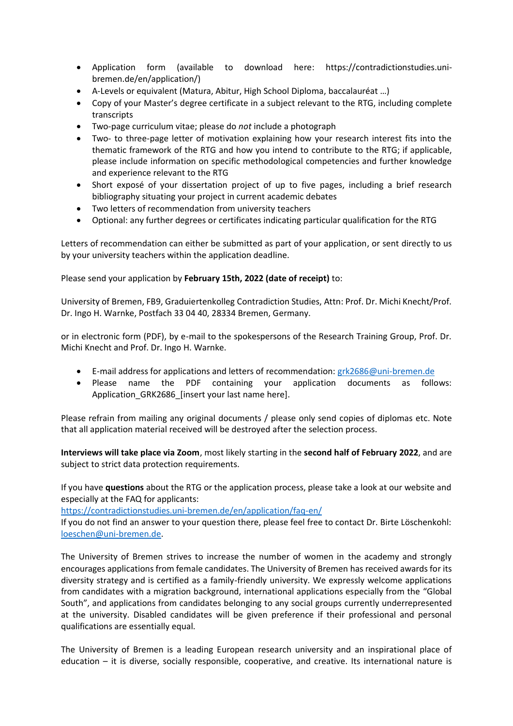- Application form (available to download here: https://contradictionstudies.unibremen.de/en/application/)
- A-Levels or equivalent (Matura, Abitur, High School Diploma, baccalauréat …)
- Copy of your Master's degree certificate in a subject relevant to the RTG, including complete transcripts
- Two-page curriculum vitae; please do *not* include a photograph
- Two- to three-page letter of motivation explaining how your research interest fits into the thematic framework of the RTG and how you intend to contribute to the RTG; if applicable, please include information on specific methodological competencies and further knowledge and experience relevant to the RTG
- Short exposé of your dissertation project of up to five pages, including a brief research bibliography situating your project in current academic debates
- Two letters of recommendation from university teachers
- Optional: any further degrees or certificates indicating particular qualification for the RTG

Letters of recommendation can either be submitted as part of your application, or sent directly to us by your university teachers within the application deadline.

Please send your application by **February 15th, 2022 (date of receipt)** to:

University of Bremen, FB9, Graduiertenkolleg Contradiction Studies, Attn: Prof. Dr. Michi Knecht/Prof. Dr. Ingo H. Warnke, Postfach 33 04 40, 28334 Bremen, Germany.

or in electronic form (PDF), by e-mail to the spokespersons of the Research Training Group, Prof. Dr. Michi Knecht and Prof. Dr. Ingo H. Warnke.

- E-mail address for applications and letters of recommendation: [grk2686@uni-bremen.de](mailto:grk2686@uni-bremen.de)
- Please name the PDF containing your application documents as follows: Application GRK2686 [insert your last name here].

Please refrain from mailing any original documents / please only send copies of diplomas etc. Note that all application material received will be destroyed after the selection process.

**Interviews will take place via Zoom**, most likely starting in the **second half of February 2022**, and are subject to strict data protection requirements.

If you have **questions** about the RTG or the application process, please take a look at our website and especially at the FAQ for applicants:

<https://contradictionstudies.uni-bremen.de/en/application/faq-en/>

If you do not find an answer to your question there, please feel free to contact Dr. Birte Löschenkohl: [loeschen@uni-bremen.de.](mailto:loeschen@uni-bremen.de)

The University of Bremen strives to increase the number of women in the academy and strongly encourages applications from female candidates. The University of Bremen has received awards for its diversity strategy and is certified as a family-friendly university. We expressly welcome applications from candidates with a migration background, international applications especially from the "Global South", and applications from candidates belonging to any social groups currently underrepresented at the university. Disabled candidates will be given preference if their professional and personal qualifications are essentially equal.

The University of Bremen is a leading European research university and an inspirational place of education – it is diverse, socially responsible, cooperative, and creative. Its international nature is